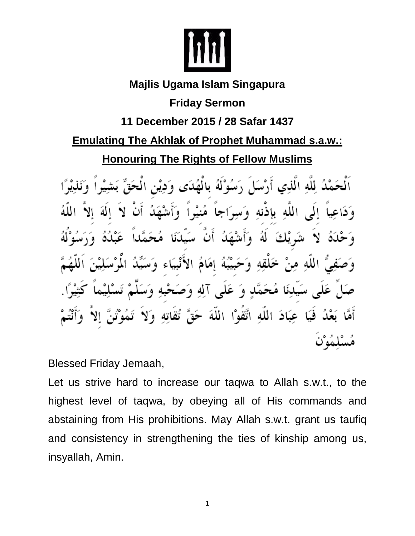

## **Majlis Ugama Islam Singapura Friday Sermon 11 December 2015 / 28 Safar 1437 Emulating The Akhlak of Prophet Muhammad s.a.w.: Honouring The Rights of Fellow Muslims** اَلْحَمْدُ لِلَّهِ الَّذِي أَرْسَلَ \ َسُهُ لَهُ لِالْقُلَاي هُنشاً الله بإذنه َ ۾ ه د [ ی  $\ddot{a}$ يَبَهُ إِمَامَ الْإِ عَلَّمِي آلِهِ وَصَـٰ -9

عِبَادَ اللَّهِ اتَّقَوْا اللَّهَ حَقَّ تُقَاتِهِ فسكا

Blessed Friday Jemaah,

Let us strive hard to increase our taqwa to Allah s.w.t., to the highest level of taqwa, by obeying all of His commands and abstaining from His prohibitions. May Allah s.w.t. grant us taufiq and consistency in strengthening the ties of kinship among us, insyallah, Amin.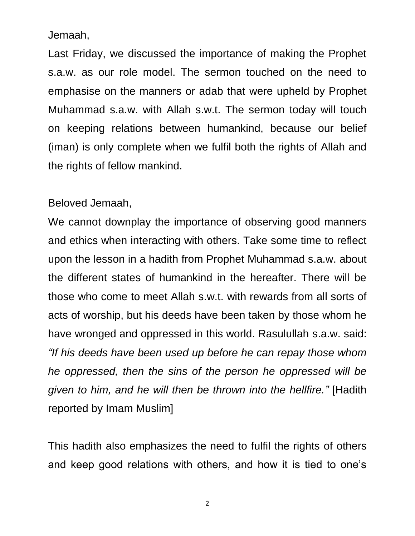Jemaah,

Last Friday, we discussed the importance of making the Prophet s.a.w. as our role model. The sermon touched on the need to emphasise on the manners or adab that were upheld by Prophet Muhammad s.a.w. with Allah s.w.t. The sermon today will touch on keeping relations between humankind, because our belief (iman) is only complete when we fulfil both the rights of Allah and the rights of fellow mankind.

## Beloved Jemaah,

We cannot downplay the importance of observing good manners and ethics when interacting with others. Take some time to reflect upon the lesson in a hadith from Prophet Muhammad s.a.w. about the different states of humankind in the hereafter. There will be those who come to meet Allah s.w.t. with rewards from all sorts of acts of worship, but his deeds have been taken by those whom he have wronged and oppressed in this world. Rasulullah s.a.w. said: *"If his deeds have been used up before he can repay those whom he oppressed, then the sins of the person he oppressed will be given to him, and he will then be thrown into the hellfire."* [Hadith reported by Imam Muslim]

This hadith also emphasizes the need to fulfil the rights of others and keep good relations with others, and how it is tied to one's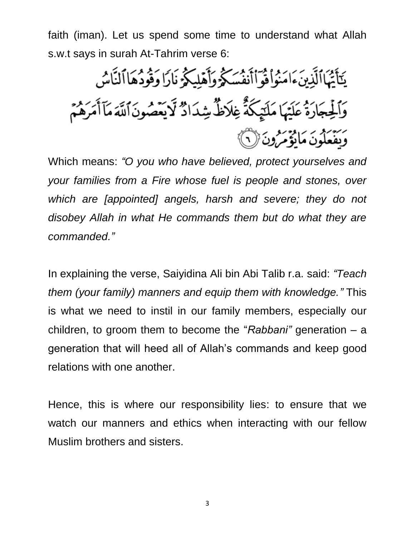faith (iman). Let us spend some time to understand what Allah s.w.t says in surah At-Tahrim verse 6:

يَتَأَيُّهَاالَّذِينَءَامَنُواْ فَوَأَأْنَفُسَكَّهُ وَأَهْلِيكُمْ نَارًا وَقُودُهَا ٱلنَّاسُ وَٱلۡفِجَارَةُ عَلَيۡهَا مَلَيۡكَةُ غِلَاظُ شِدَادٌ لَّا يَعۡصُونَ ٱللَّهَ مَآأَمَرَهُمۡ وَبَقْعَلُونَ مَايْؤُمَّرُونَ ۞

Which means: *"O you who have believed, protect yourselves and your families from a Fire whose fuel is people and stones, over*  which are *[appointed] angels, harsh and severe; they do not disobey Allah in what He commands them but do what they are commanded."*

In explaining the verse, Saiyidina Ali bin Abi Talib r.a. said: *"Teach them (your family) manners and equip them with knowledge."* This is what we need to instil in our family members, especially our children, to groom them to become the "*Rabbani"* generation – a generation that will heed all of Allah's commands and keep good relations with one another.

Hence, this is where our responsibility lies: to ensure that we watch our manners and ethics when interacting with our fellow Muslim brothers and sisters.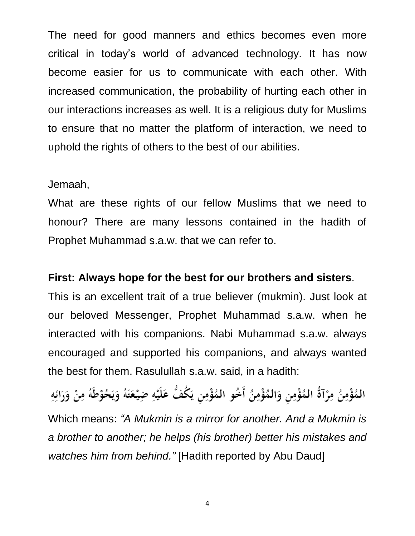The need for good manners and ethics becomes even more critical in today's world of advanced technology. It has now become easier for us to communicate with each other. With increased communication, the probability of hurting each other in our interactions increases as well. It is a religious duty for Muslims to ensure that no matter the platform of interaction, we need to uphold the rights of others to the best of our abilities.

## Jemaah,

What are these rights of our fellow Muslims that we need to honour? There are many lessons contained in the hadith of Prophet Muhammad s.a.w. that we can refer to.

## **First: Always hope for the best for our brothers and sisters**.

This is an excellent trait of a true believer (mukmin). Just look at our beloved Messenger, Prophet Muhammad s.a.w. when he interacted with his companions. Nabi Muhammad s.a.w. always encouraged and supported his companions, and always wanted the best for them. Rasulullah s.a.w. said, in a hadith:

المُؤْمِنُ مِرْآةٌ المُؤْمِن وَالمُؤْمِنُ أَخُو المُؤْمِن يَكُفُّ عَلَيْهِ ضِيْعَتَهُ وَيَحُوْطَهُ مِنْ وَرَائِهِ Which means: *"A Mukmin is a mirror for another. And a Mukmin is a brother to another; he helps (his brother) better his mistakes and watches him from behind."* [Hadith reported by Abu Daud]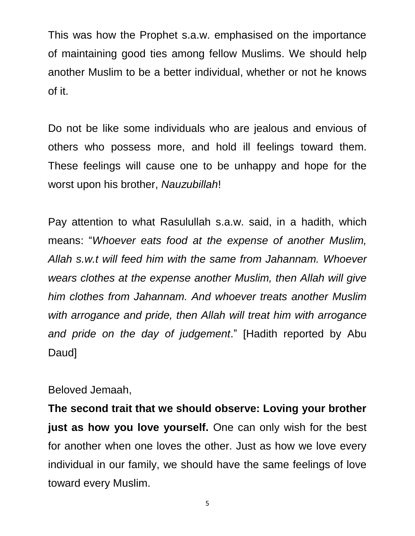This was how the Prophet s.a.w. emphasised on the importance of maintaining good ties among fellow Muslims. We should help another Muslim to be a better individual, whether or not he knows of it.

Do not be like some individuals who are jealous and envious of others who possess more, and hold ill feelings toward them. These feelings will cause one to be unhappy and hope for the worst upon his brother, *Nauzubillah*!

Pay attention to what Rasulullah s.a.w. said, in a hadith, which means: "*Whoever eats food at the expense of another Muslim, Allah s.w.t will feed him with the same from Jahannam. Whoever wears clothes at the expense another Muslim, then Allah will give him clothes from Jahannam. And whoever treats another Muslim with arrogance and pride, then Allah will treat him with arrogance and pride on the day of judgement*." [Hadith reported by Abu Daud]

Beloved Jemaah,

**The second trait that we should observe: Loving your brother just as how you love yourself.** One can only wish for the best for another when one loves the other. Just as how we love every individual in our family, we should have the same feelings of love toward every Muslim.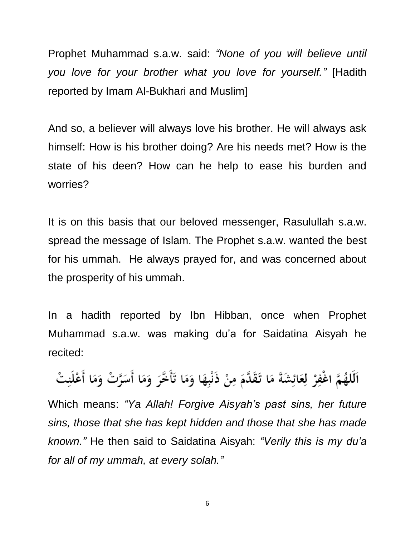Prophet Muhammad s.a.w. said: *"None of you will believe until you love for your brother what you love for yourself."* [Hadith reported by Imam Al-Bukhari and Muslim]

And so, a believer will always love his brother. He will always ask himself: How is his brother doing? Are his needs met? How is the state of his deen? How can he help to ease his burden and worries?

It is on this basis that our beloved messenger, Rasulullah s.a.w. spread the message of Islam. The Prophet s.a.w. wanted the best for his ummah. He always prayed for, and was concerned about the prosperity of his ummah.

In a hadith reported by Ibn Hibban, once when Prophet Muhammad s.a.w. was making du'a for Saidatina Aisyah he recited:

اَلَلهُمَّ اغْفِرْ لِعَائِشَةَ مَا تَقَدَّمَ مِنْ ذَنْبِهَا وَمَا تَأَخَّرَ وَمَا أَسَرَّتْ وَمَا أَعْلَنِتْ

Which means: *"Ya Allah! Forgive Aisyah's past sins, her future sins, those that she has kept hidden and those that she has made known."* He then said to Saidatina Aisyah: *"Verily this is my du'a for all of my ummah, at every solah."*